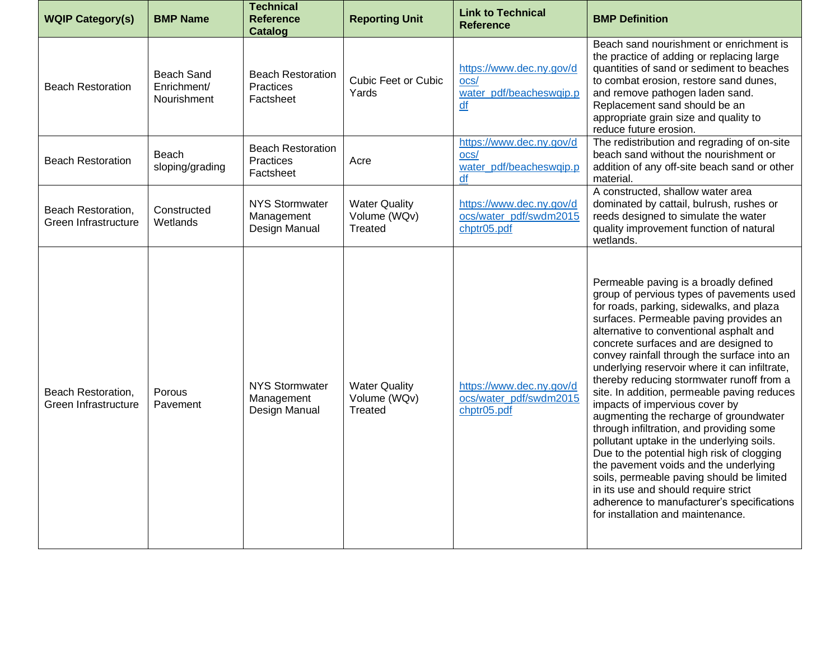| <b>WQIP Category(s)</b>                    | <b>BMP Name</b>                                 | <b>Technical</b><br><b>Reference</b><br>Catalog      | <b>Reporting Unit</b>                                  | <b>Link to Technical</b><br><b>Reference</b>                      | <b>BMP Definition</b>                                                                                                                                                                                                                                                                                                                                                                                                                                                                                                                                                                                                                                                                                                                                                                                                                                                                        |
|--------------------------------------------|-------------------------------------------------|------------------------------------------------------|--------------------------------------------------------|-------------------------------------------------------------------|----------------------------------------------------------------------------------------------------------------------------------------------------------------------------------------------------------------------------------------------------------------------------------------------------------------------------------------------------------------------------------------------------------------------------------------------------------------------------------------------------------------------------------------------------------------------------------------------------------------------------------------------------------------------------------------------------------------------------------------------------------------------------------------------------------------------------------------------------------------------------------------------|
| <b>Beach Restoration</b>                   | <b>Beach Sand</b><br>Enrichment/<br>Nourishment | <b>Beach Restoration</b><br>Practices<br>Factsheet   | <b>Cubic Feet or Cubic</b><br>Yards                    | https://www.dec.ny.gov/d<br>ocs/<br>water pdf/beacheswqip.p<br>df | Beach sand nourishment or enrichment is<br>the practice of adding or replacing large<br>quantities of sand or sediment to beaches<br>to combat erosion, restore sand dunes,<br>and remove pathogen laden sand.<br>Replacement sand should be an<br>appropriate grain size and quality to<br>reduce future erosion.                                                                                                                                                                                                                                                                                                                                                                                                                                                                                                                                                                           |
| <b>Beach Restoration</b>                   | Beach<br>sloping/grading                        | <b>Beach Restoration</b><br>Practices<br>Factsheet   | Acre                                                   | https://www.dec.ny.gov/d<br>ocs/<br>water_pdf/beacheswqip.p<br>df | The redistribution and regrading of on-site<br>beach sand without the nourishment or<br>addition of any off-site beach sand or other<br>material.                                                                                                                                                                                                                                                                                                                                                                                                                                                                                                                                                                                                                                                                                                                                            |
| Beach Restoration,<br>Green Infrastructure | Constructed<br>Wetlands                         | <b>NYS Stormwater</b><br>Management<br>Design Manual | <b>Water Quality</b><br>Volume (WQv)<br><b>Treated</b> | https://www.dec.ny.gov/d<br>ocs/water_pdf/swdm2015<br>chptr05.pdf | A constructed, shallow water area<br>dominated by cattail, bulrush, rushes or<br>reeds designed to simulate the water<br>quality improvement function of natural<br>wetlands.                                                                                                                                                                                                                                                                                                                                                                                                                                                                                                                                                                                                                                                                                                                |
| Beach Restoration,<br>Green Infrastructure | Porous<br>Pavement                              | <b>NYS Stormwater</b><br>Management<br>Design Manual | <b>Water Quality</b><br>Volume (WQv)<br>Treated        | https://www.dec.ny.gov/d<br>ocs/water_pdf/swdm2015<br>chptr05.pdf | Permeable paving is a broadly defined<br>group of pervious types of pavements used<br>for roads, parking, sidewalks, and plaza<br>surfaces. Permeable paving provides an<br>alternative to conventional asphalt and<br>concrete surfaces and are designed to<br>convey rainfall through the surface into an<br>underlying reservoir where it can infiltrate,<br>thereby reducing stormwater runoff from a<br>site. In addition, permeable paving reduces<br>impacts of impervious cover by<br>augmenting the recharge of groundwater<br>through infiltration, and providing some<br>pollutant uptake in the underlying soils.<br>Due to the potential high risk of clogging<br>the pavement voids and the underlying<br>soils, permeable paving should be limited<br>in its use and should require strict<br>adherence to manufacturer's specifications<br>for installation and maintenance. |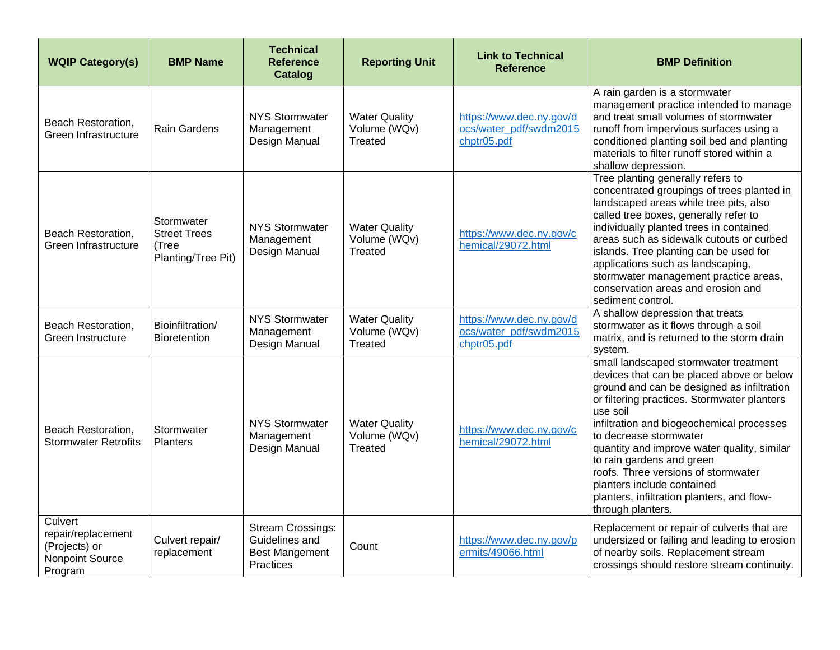| <b>WQIP Category(s)</b>                                                             | <b>BMP Name</b>                                                  | <b>Technical</b><br><b>Reference</b><br>Catalog                                  | <b>Reporting Unit</b>                           | <b>Link to Technical</b><br><b>Reference</b>                      | <b>BMP Definition</b>                                                                                                                                                                                                                                                                                                                                                                                                                                                                  |
|-------------------------------------------------------------------------------------|------------------------------------------------------------------|----------------------------------------------------------------------------------|-------------------------------------------------|-------------------------------------------------------------------|----------------------------------------------------------------------------------------------------------------------------------------------------------------------------------------------------------------------------------------------------------------------------------------------------------------------------------------------------------------------------------------------------------------------------------------------------------------------------------------|
| Beach Restoration,<br>Green Infrastructure                                          | <b>Rain Gardens</b>                                              | <b>NYS Stormwater</b><br>Management<br>Design Manual                             | <b>Water Quality</b><br>Volume (WQv)<br>Treated | https://www.dec.ny.gov/d<br>ocs/water_pdf/swdm2015<br>chptr05.pdf | A rain garden is a stormwater<br>management practice intended to manage<br>and treat small volumes of stormwater<br>runoff from impervious surfaces using a<br>conditioned planting soil bed and planting<br>materials to filter runoff stored within a<br>shallow depression.                                                                                                                                                                                                         |
| Beach Restoration,<br>Green Infrastructure                                          | Stormwater<br><b>Street Trees</b><br>(Tree<br>Planting/Tree Pit) | <b>NYS Stormwater</b><br>Management<br>Design Manual                             | <b>Water Quality</b><br>Volume (WQv)<br>Treated | https://www.dec.ny.gov/c<br>hemical/29072.html                    | Tree planting generally refers to<br>concentrated groupings of trees planted in<br>landscaped areas while tree pits, also<br>called tree boxes, generally refer to<br>individually planted trees in contained<br>areas such as sidewalk cutouts or curbed<br>islands. Tree planting can be used for<br>applications such as landscaping,<br>stormwater management practice areas,<br>conservation areas and erosion and<br>sediment control.                                           |
| Beach Restoration,<br>Green Instructure                                             | Bioinfiltration/<br><b>Bioretention</b>                          | <b>NYS Stormwater</b><br>Management<br>Design Manual                             | <b>Water Quality</b><br>Volume (WQv)<br>Treated | https://www.dec.ny.gov/d<br>ocs/water_pdf/swdm2015<br>chptr05.pdf | A shallow depression that treats<br>stormwater as it flows through a soil<br>matrix, and is returned to the storm drain<br>system.                                                                                                                                                                                                                                                                                                                                                     |
| Beach Restoration,<br><b>Stormwater Retrofits</b>                                   | Stormwater<br><b>Planters</b>                                    | <b>NYS Stormwater</b><br>Management<br>Design Manual                             | <b>Water Quality</b><br>Volume (WQv)<br>Treated | https://www.dec.ny.gov/c<br>hemical/29072.html                    | small landscaped stormwater treatment<br>devices that can be placed above or below<br>ground and can be designed as infiltration<br>or filtering practices. Stormwater planters<br>use soil<br>infiltration and biogeochemical processes<br>to decrease stormwater<br>quantity and improve water quality, similar<br>to rain gardens and green<br>roofs. Three versions of stormwater<br>planters include contained<br>planters, infiltration planters, and flow-<br>through planters. |
| Culvert<br>repair/replacement<br>(Projects) or<br><b>Nonpoint Source</b><br>Program | Culvert repair/<br>replacement                                   | <b>Stream Crossings:</b><br>Guidelines and<br><b>Best Mangement</b><br>Practices | Count                                           | https://www.dec.ny.gov/p<br>ermits/49066.html                     | Replacement or repair of culverts that are<br>undersized or failing and leading to erosion<br>of nearby soils. Replacement stream<br>crossings should restore stream continuity.                                                                                                                                                                                                                                                                                                       |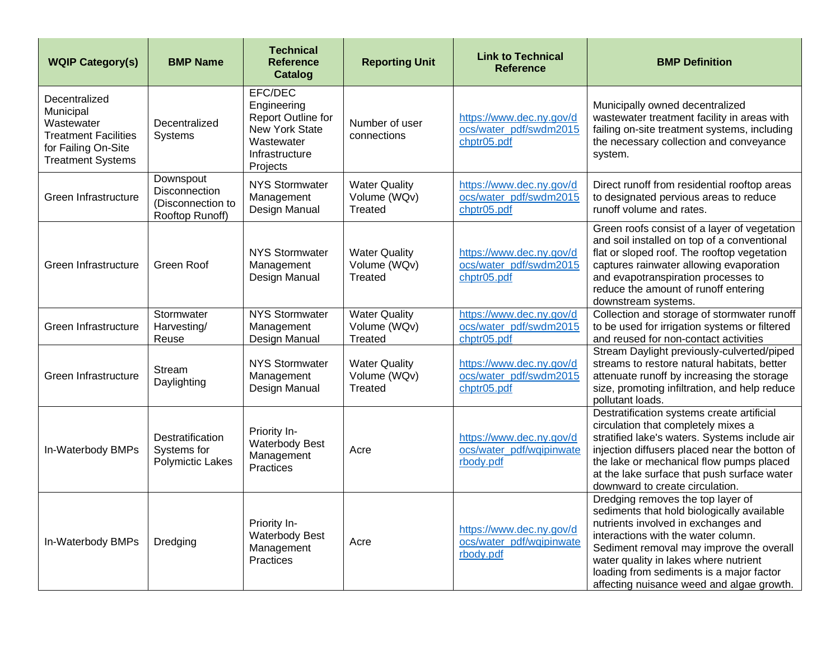| <b>WQIP Category(s)</b>                                                                                                    | <b>BMP Name</b>                                                    | <b>Technical</b><br><b>Reference</b><br>Catalog                                                                          | <b>Reporting Unit</b>                                  | <b>Link to Technical</b><br><b>Reference</b>                      | <b>BMP Definition</b>                                                                                                                                                                                                                                                                                                                       |
|----------------------------------------------------------------------------------------------------------------------------|--------------------------------------------------------------------|--------------------------------------------------------------------------------------------------------------------------|--------------------------------------------------------|-------------------------------------------------------------------|---------------------------------------------------------------------------------------------------------------------------------------------------------------------------------------------------------------------------------------------------------------------------------------------------------------------------------------------|
| Decentralized<br>Municipal<br>Wastewater<br><b>Treatment Facilities</b><br>for Failing On-Site<br><b>Treatment Systems</b> | Decentralized<br>Systems                                           | EFC/DEC<br>Engineering<br><b>Report Outline for</b><br><b>New York State</b><br>Wastewater<br>Infrastructure<br>Projects | Number of user<br>connections                          | https://www.dec.ny.gov/d<br>ocs/water_pdf/swdm2015<br>chptr05.pdf | Municipally owned decentralized<br>wastewater treatment facility in areas with<br>failing on-site treatment systems, including<br>the necessary collection and conveyance<br>system.                                                                                                                                                        |
| Green Infrastructure                                                                                                       | Downspout<br>Disconnection<br>(Disconnection to<br>Rooftop Runoff) | <b>NYS Stormwater</b><br>Management<br>Design Manual                                                                     | <b>Water Quality</b><br>Volume (WQv)<br><b>Treated</b> | https://www.dec.ny.gov/d<br>ocs/water_pdf/swdm2015<br>chptr05.pdf | Direct runoff from residential rooftop areas<br>to designated pervious areas to reduce<br>runoff volume and rates.                                                                                                                                                                                                                          |
| Green Infrastructure                                                                                                       | Green Roof                                                         | <b>NYS Stormwater</b><br>Management<br>Design Manual                                                                     | <b>Water Quality</b><br>Volume (WQv)<br><b>Treated</b> | https://www.dec.ny.gov/d<br>ocs/water_pdf/swdm2015<br>chptr05.pdf | Green roofs consist of a layer of vegetation<br>and soil installed on top of a conventional<br>flat or sloped roof. The rooftop vegetation<br>captures rainwater allowing evaporation<br>and evapotranspiration processes to<br>reduce the amount of runoff entering<br>downstream systems.                                                 |
| Green Infrastructure                                                                                                       | Stormwater<br>Harvesting/<br>Reuse                                 | <b>NYS Stormwater</b><br>Management<br>Design Manual                                                                     | <b>Water Quality</b><br>Volume (WQv)<br><b>Treated</b> | https://www.dec.ny.gov/d<br>ocs/water_pdf/swdm2015<br>chptr05.pdf | Collection and storage of stormwater runoff<br>to be used for irrigation systems or filtered<br>and reused for non-contact activities                                                                                                                                                                                                       |
| Green Infrastructure                                                                                                       | <b>Stream</b><br>Daylighting                                       | <b>NYS Stormwater</b><br>Management<br>Design Manual                                                                     | <b>Water Quality</b><br>Volume (WQv)<br>Treated        | https://www.dec.ny.gov/d<br>ocs/water_pdf/swdm2015<br>chptr05.pdf | Stream Daylight previously-culverted/piped<br>streams to restore natural habitats, better<br>attenuate runoff by increasing the storage<br>size, promoting infiltration, and help reduce<br>pollutant loads.                                                                                                                                |
| In-Waterbody BMPs                                                                                                          | Destratification<br>Systems for<br><b>Polymictic Lakes</b>         | Priority In-<br>Waterbody Best<br>Management<br>Practices                                                                | Acre                                                   | https://www.dec.ny.gov/d<br>ocs/water_pdf/wqipinwate<br>rbody.pdf | Destratification systems create artificial<br>circulation that completely mixes a<br>stratified lake's waters. Systems include air<br>injection diffusers placed near the botton of<br>the lake or mechanical flow pumps placed<br>at the lake surface that push surface water<br>downward to create circulation.                           |
| In-Waterbody BMPs                                                                                                          | Dredging                                                           | Priority In-<br><b>Waterbody Best</b><br>Management<br><b>Practices</b>                                                  | Acre                                                   | https://www.dec.ny.gov/d<br>ocs/water_pdf/wqipinwate<br>rbody.pdf | Dredging removes the top layer of<br>sediments that hold biologically available<br>nutrients involved in exchanges and<br>interactions with the water column.<br>Sediment removal may improve the overall<br>water quality in lakes where nutrient<br>loading from sediments is a major factor<br>affecting nuisance weed and algae growth. |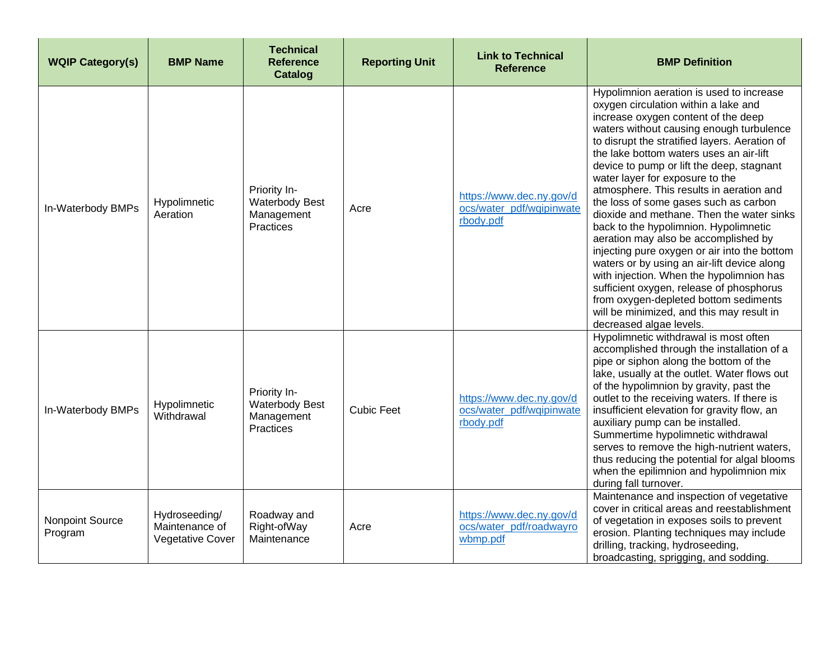| <b>WQIP Category(s)</b>    | <b>BMP Name</b>                                     | <b>Technical</b><br><b>Reference</b><br>Catalog                  | <b>Reporting Unit</b> | <b>Link to Technical</b><br><b>Reference</b>                      | <b>BMP Definition</b>                                                                                                                                                                                                                                                                                                                                                                                                                                                                                                                                                                                                                                                                                                                                                                                                                                                      |
|----------------------------|-----------------------------------------------------|------------------------------------------------------------------|-----------------------|-------------------------------------------------------------------|----------------------------------------------------------------------------------------------------------------------------------------------------------------------------------------------------------------------------------------------------------------------------------------------------------------------------------------------------------------------------------------------------------------------------------------------------------------------------------------------------------------------------------------------------------------------------------------------------------------------------------------------------------------------------------------------------------------------------------------------------------------------------------------------------------------------------------------------------------------------------|
| In-Waterbody BMPs          | Hypolimnetic<br>Aeration                            | Priority In-<br><b>Waterbody Best</b><br>Management<br>Practices | Acre                  | https://www.dec.ny.gov/d<br>ocs/water_pdf/wqipinwate<br>rbody.pdf | Hypolimnion aeration is used to increase<br>oxygen circulation within a lake and<br>increase oxygen content of the deep<br>waters without causing enough turbulence<br>to disrupt the stratified layers. Aeration of<br>the lake bottom waters uses an air-lift<br>device to pump or lift the deep, stagnant<br>water layer for exposure to the<br>atmosphere. This results in aeration and<br>the loss of some gases such as carbon<br>dioxide and methane. Then the water sinks<br>back to the hypolimnion. Hypolimnetic<br>aeration may also be accomplished by<br>injecting pure oxygen or air into the bottom<br>waters or by using an air-lift device along<br>with injection. When the hypolimnion has<br>sufficient oxygen, release of phosphorus<br>from oxygen-depleted bottom sediments<br>will be minimized, and this may result in<br>decreased algae levels. |
| In-Waterbody BMPs          | Hypolimnetic<br>Withdrawal                          | Priority In-<br><b>Waterbody Best</b><br>Management<br>Practices | <b>Cubic Feet</b>     | https://www.dec.ny.gov/d<br>ocs/water_pdf/wqipinwate<br>rbody.pdf | Hypolimnetic withdrawal is most often<br>accomplished through the installation of a<br>pipe or siphon along the bottom of the<br>lake, usually at the outlet. Water flows out<br>of the hypolimnion by gravity, past the<br>outlet to the receiving waters. If there is<br>insufficient elevation for gravity flow, an<br>auxiliary pump can be installed.<br>Summertime hypolimnetic withdrawal<br>serves to remove the high-nutrient waters,<br>thus reducing the potential for algal blooms<br>when the epilimnion and hypolimnion mix<br>during fall turnover.                                                                                                                                                                                                                                                                                                         |
| Nonpoint Source<br>Program | Hydroseeding/<br>Maintenance of<br>Vegetative Cover | Roadway and<br>Right-ofWay<br>Maintenance                        | Acre                  | https://www.dec.ny.gov/d<br>ocs/water_pdf/roadwayro<br>wbmp.pdf   | Maintenance and inspection of vegetative<br>cover in critical areas and reestablishment<br>of vegetation in exposes soils to prevent<br>erosion. Planting techniques may include<br>drilling, tracking, hydroseeding,<br>broadcasting, sprigging, and sodding.                                                                                                                                                                                                                                                                                                                                                                                                                                                                                                                                                                                                             |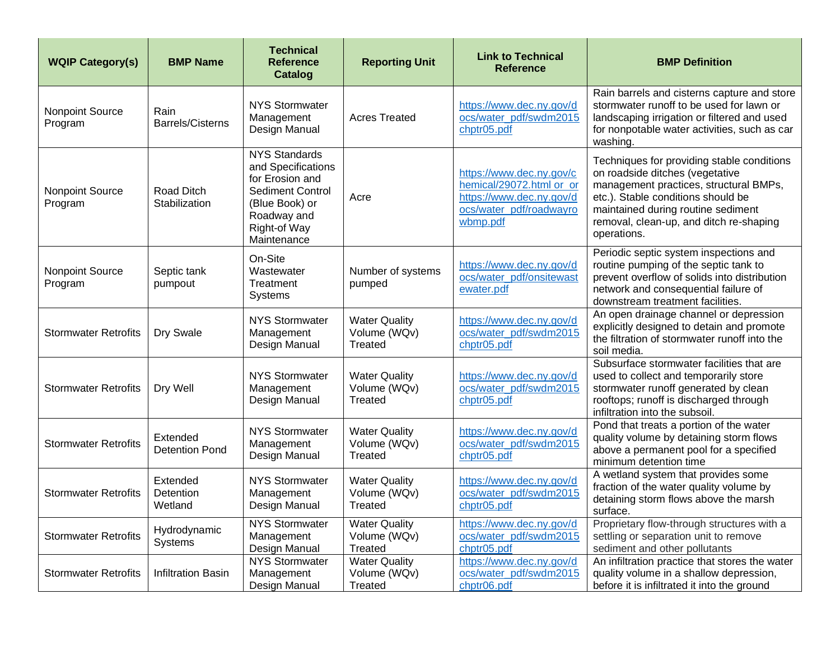| <b>WQIP Category(s)</b>           | <b>BMP Name</b>                   | <b>Technical</b><br><b>Reference</b><br><b>Catalog</b>                                                                                                   | <b>Reporting Unit</b>                                  | <b>Link to Technical</b><br><b>Reference</b>                                                                            | <b>BMP Definition</b>                                                                                                                                                                                                                                         |
|-----------------------------------|-----------------------------------|----------------------------------------------------------------------------------------------------------------------------------------------------------|--------------------------------------------------------|-------------------------------------------------------------------------------------------------------------------------|---------------------------------------------------------------------------------------------------------------------------------------------------------------------------------------------------------------------------------------------------------------|
| <b>Nonpoint Source</b><br>Program | Rain<br><b>Barrels/Cisterns</b>   | <b>NYS Stormwater</b><br>Management<br>Design Manual                                                                                                     | <b>Acres Treated</b>                                   | https://www.dec.ny.gov/d<br>ocs/water_pdf/swdm2015<br>chptr05.pdf                                                       | Rain barrels and cisterns capture and store<br>stormwater runoff to be used for lawn or<br>landscaping irrigation or filtered and used<br>for nonpotable water activities, such as car<br>washing.                                                            |
| Nonpoint Source<br>Program        | Road Ditch<br>Stabilization       | <b>NYS Standards</b><br>and Specifications<br>for Erosion and<br><b>Sediment Control</b><br>(Blue Book) or<br>Roadway and<br>Right-of Way<br>Maintenance | Acre                                                   | https://www.dec.ny.gov/c<br>hemical/29072.html or or<br>https://www.dec.ny.gov/d<br>ocs/water_pdf/roadwayro<br>wbmp.pdf | Techniques for providing stable conditions<br>on roadside ditches (vegetative<br>management practices, structural BMPs,<br>etc.). Stable conditions should be<br>maintained during routine sediment<br>removal, clean-up, and ditch re-shaping<br>operations. |
| <b>Nonpoint Source</b><br>Program | Septic tank<br>pumpout            | On-Site<br>Wastewater<br>Treatment<br>Systems                                                                                                            | Number of systems<br>pumped                            | https://www.dec.ny.gov/d<br>ocs/water_pdf/onsitewast<br>ewater.pdf                                                      | Periodic septic system inspections and<br>routine pumping of the septic tank to<br>prevent overflow of solids into distribution<br>network and consequential failure of<br>downstream treatment facilities.                                                   |
| <b>Stormwater Retrofits</b>       | Dry Swale                         | <b>NYS Stormwater</b><br>Management<br>Design Manual                                                                                                     | <b>Water Quality</b><br>Volume (WQv)<br>Treated        | https://www.dec.ny.gov/d<br>ocs/water_pdf/swdm2015<br>chptr05.pdf                                                       | An open drainage channel or depression<br>explicitly designed to detain and promote<br>the filtration of stormwater runoff into the<br>soil media.                                                                                                            |
| <b>Stormwater Retrofits</b>       | Dry Well                          | <b>NYS Stormwater</b><br>Management<br>Design Manual                                                                                                     | <b>Water Quality</b><br>Volume (WQv)<br><b>Treated</b> | https://www.dec.ny.gov/d<br>ocs/water_pdf/swdm2015<br>chptr05.pdf                                                       | Subsurface stormwater facilities that are<br>used to collect and temporarily store<br>stormwater runoff generated by clean<br>rooftops; runoff is discharged through<br>infiltration into the subsoil.                                                        |
| <b>Stormwater Retrofits</b>       | Extended<br><b>Detention Pond</b> | <b>NYS Stormwater</b><br>Management<br>Design Manual                                                                                                     | <b>Water Quality</b><br>Volume (WQv)<br>Treated        | https://www.dec.ny.gov/d<br>ocs/water_pdf/swdm2015<br>chptr05.pdf                                                       | Pond that treats a portion of the water<br>quality volume by detaining storm flows<br>above a permanent pool for a specified<br>minimum detention time                                                                                                        |
| <b>Stormwater Retrofits</b>       | Extended<br>Detention<br>Wetland  | <b>NYS Stormwater</b><br>Management<br>Design Manual                                                                                                     | <b>Water Quality</b><br>Volume (WQv)<br><b>Treated</b> | https://www.dec.ny.gov/d<br>ocs/water_pdf/swdm2015<br>chptr05.pdf                                                       | A wetland system that provides some<br>fraction of the water quality volume by<br>detaining storm flows above the marsh<br>surface.                                                                                                                           |
| <b>Stormwater Retrofits</b>       | Hydrodynamic<br>Systems           | <b>NYS Stormwater</b><br>Management<br>Design Manual                                                                                                     | <b>Water Quality</b><br>Volume (WQv)<br>Treated        | https://www.dec.ny.gov/d<br>ocs/water_pdf/swdm2015<br>chptr05.pdf                                                       | Proprietary flow-through structures with a<br>settling or separation unit to remove<br>sediment and other pollutants                                                                                                                                          |
| <b>Stormwater Retrofits</b>       | <b>Infiltration Basin</b>         | <b>NYS Stormwater</b><br>Management<br>Design Manual                                                                                                     | <b>Water Quality</b><br>Volume (WQv)<br>Treated        | https://www.dec.ny.gov/d<br>ocs/water_pdf/swdm2015<br>chptr06.pdf                                                       | An infiltration practice that stores the water<br>quality volume in a shallow depression,<br>before it is infiltrated it into the ground                                                                                                                      |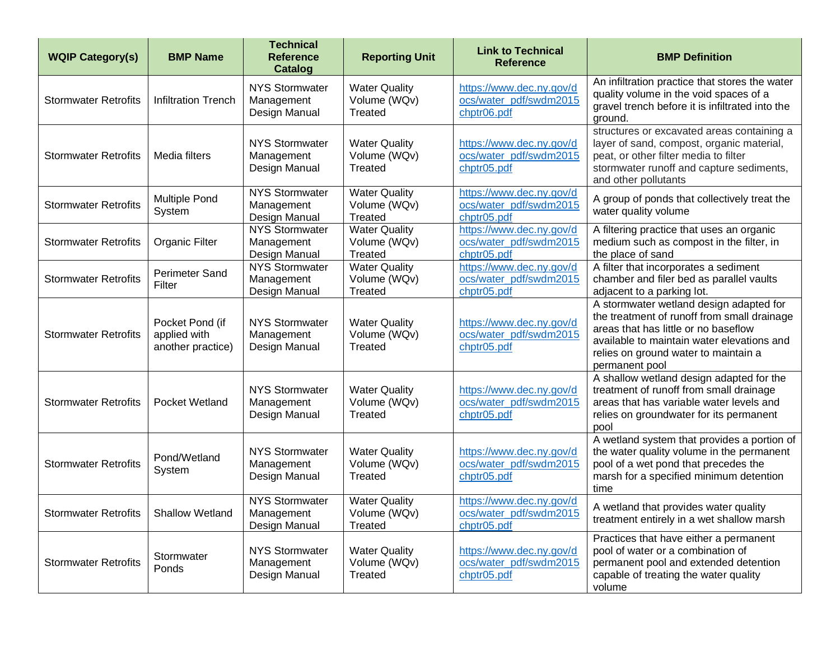| <b>WQIP Category(s)</b>     | <b>BMP Name</b>                                      | <b>Technical</b><br><b>Reference</b><br>Catalog      | <b>Reporting Unit</b>                                  | <b>Link to Technical</b><br><b>Reference</b>                      | <b>BMP Definition</b>                                                                                                                                                                                                                  |
|-----------------------------|------------------------------------------------------|------------------------------------------------------|--------------------------------------------------------|-------------------------------------------------------------------|----------------------------------------------------------------------------------------------------------------------------------------------------------------------------------------------------------------------------------------|
| <b>Stormwater Retrofits</b> | <b>Infiltration Trench</b>                           | <b>NYS Stormwater</b><br>Management<br>Design Manual | <b>Water Quality</b><br>Volume (WQv)<br>Treated        | https://www.dec.ny.gov/d<br>ocs/water_pdf/swdm2015<br>chptr06.pdf | An infiltration practice that stores the water<br>quality volume in the void spaces of a<br>gravel trench before it is infiltrated into the<br>ground.                                                                                 |
| <b>Stormwater Retrofits</b> | Media filters                                        | <b>NYS Stormwater</b><br>Management<br>Design Manual | <b>Water Quality</b><br>Volume (WQv)<br>Treated        | https://www.dec.ny.gov/d<br>ocs/water_pdf/swdm2015<br>chptr05.pdf | structures or excavated areas containing a<br>layer of sand, compost, organic material,<br>peat, or other filter media to filter<br>stormwater runoff and capture sediments,<br>and other pollutants                                   |
| <b>Stormwater Retrofits</b> | <b>Multiple Pond</b><br>System                       | <b>NYS Stormwater</b><br>Management<br>Design Manual | <b>Water Quality</b><br>Volume (WQv)<br>Treated        | https://www.dec.ny.gov/d<br>ocs/water_pdf/swdm2015<br>chptr05.pdf | A group of ponds that collectively treat the<br>water quality volume                                                                                                                                                                   |
| <b>Stormwater Retrofits</b> | Organic Filter                                       | <b>NYS Stormwater</b><br>Management<br>Design Manual | <b>Water Quality</b><br>Volume (WQv)<br><b>Treated</b> | https://www.dec.ny.gov/d<br>ocs/water_pdf/swdm2015<br>chptr05.pdf | A filtering practice that uses an organic<br>medium such as compost in the filter, in<br>the place of sand                                                                                                                             |
| <b>Stormwater Retrofits</b> | <b>Perimeter Sand</b><br>Filter                      | <b>NYS Stormwater</b><br>Management<br>Design Manual | <b>Water Quality</b><br>Volume (WQv)<br>Treated        | https://www.dec.ny.gov/d<br>ocs/water_pdf/swdm2015<br>chptr05.pdf | A filter that incorporates a sediment<br>chamber and filer bed as parallel vaults<br>adjacent to a parking lot.                                                                                                                        |
| <b>Stormwater Retrofits</b> | Pocket Pond (if<br>applied with<br>another practice) | <b>NYS Stormwater</b><br>Management<br>Design Manual | <b>Water Quality</b><br>Volume (WQv)<br>Treated        | https://www.dec.ny.gov/d<br>ocs/water_pdf/swdm2015<br>chptr05.pdf | A stormwater wetland design adapted for<br>the treatment of runoff from small drainage<br>areas that has little or no baseflow<br>available to maintain water elevations and<br>relies on ground water to maintain a<br>permanent pool |
| <b>Stormwater Retrofits</b> | Pocket Wetland                                       | <b>NYS Stormwater</b><br>Management<br>Design Manual | <b>Water Quality</b><br>Volume (WQv)<br>Treated        | https://www.dec.ny.gov/d<br>ocs/water_pdf/swdm2015<br>chptr05.pdf | A shallow wetland design adapted for the<br>treatment of runoff from small drainage<br>areas that has variable water levels and<br>relies on groundwater for its permanent<br>pool                                                     |
| <b>Stormwater Retrofits</b> | Pond/Wetland<br>System                               | <b>NYS Stormwater</b><br>Management<br>Design Manual | <b>Water Quality</b><br>Volume (WQv)<br>Treated        | https://www.dec.ny.gov/d<br>ocs/water_pdf/swdm2015<br>chptr05.pdf | A wetland system that provides a portion of<br>the water quality volume in the permanent<br>pool of a wet pond that precedes the<br>marsh for a specified minimum detention<br>time                                                    |
| Stormwater Retrofits        | <b>Shallow Wetland</b>                               | <b>NYS Stormwater</b><br>Management<br>Design Manual | <b>Water Quality</b><br>Volume (WQv)<br>Treated        | https://www.dec.ny.gov/d<br>ocs/water_pdf/swdm2015<br>chptr05.pdf | A wetland that provides water quality<br>treatment entirely in a wet shallow marsh                                                                                                                                                     |
| <b>Stormwater Retrofits</b> | Stormwater<br>Ponds                                  | <b>NYS Stormwater</b><br>Management<br>Design Manual | <b>Water Quality</b><br>Volume (WQv)<br>Treated        | https://www.dec.ny.gov/d<br>ocs/water_pdf/swdm2015<br>chptr05.pdf | Practices that have either a permanent<br>pool of water or a combination of<br>permanent pool and extended detention<br>capable of treating the water quality<br>volume                                                                |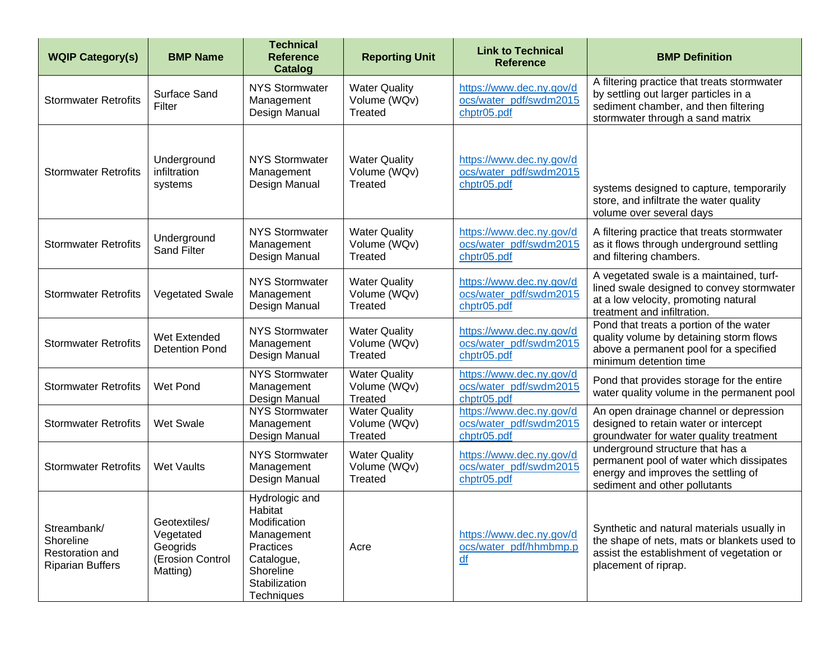| <b>WQIP Category(s)</b>                                                | <b>BMP Name</b>                                                       | <b>Technical</b><br><b>Reference</b><br>Catalog                                                                                | <b>Reporting Unit</b>                                  | <b>Link to Technical</b><br><b>Reference</b>                           | <b>BMP Definition</b>                                                                                                                                            |
|------------------------------------------------------------------------|-----------------------------------------------------------------------|--------------------------------------------------------------------------------------------------------------------------------|--------------------------------------------------------|------------------------------------------------------------------------|------------------------------------------------------------------------------------------------------------------------------------------------------------------|
| <b>Stormwater Retrofits</b>                                            | Surface Sand<br>Filter                                                | <b>NYS Stormwater</b><br>Management<br>Design Manual                                                                           | <b>Water Quality</b><br>Volume (WQv)<br>Treated        | https://www.dec.ny.gov/d<br>ocs/water_pdf/swdm2015<br>chptr05.pdf      | A filtering practice that treats stormwater<br>by settling out larger particles in a<br>sediment chamber, and then filtering<br>stormwater through a sand matrix |
| <b>Stormwater Retrofits</b>                                            | Underground<br>infiltration<br>systems                                | <b>NYS Stormwater</b><br>Management<br>Design Manual                                                                           | <b>Water Quality</b><br>Volume (WQv)<br>Treated        | https://www.dec.ny.gov/d<br>ocs/water_pdf/swdm2015<br>chptr05.pdf      | systems designed to capture, temporarily<br>store, and infiltrate the water quality<br>volume over several days                                                  |
| <b>Stormwater Retrofits</b>                                            | Underground<br><b>Sand Filter</b>                                     | <b>NYS Stormwater</b><br>Management<br>Design Manual                                                                           | <b>Water Quality</b><br>Volume (WQv)<br>Treated        | https://www.dec.ny.gov/d<br>ocs/water_pdf/swdm2015<br>chptr05.pdf      | A filtering practice that treats stormwater<br>as it flows through underground settling<br>and filtering chambers.                                               |
| <b>Stormwater Retrofits</b>                                            | <b>Vegetated Swale</b>                                                | <b>NYS Stormwater</b><br>Management<br>Design Manual                                                                           | <b>Water Quality</b><br>Volume (WQv)<br>Treated        | https://www.dec.ny.gov/d<br>ocs/water_pdf/swdm2015<br>chptr05.pdf      | A vegetated swale is a maintained, turf-<br>lined swale designed to convey stormwater<br>at a low velocity, promoting natural<br>treatment and infiltration.     |
| <b>Stormwater Retrofits</b>                                            | Wet Extended<br><b>Detention Pond</b>                                 | <b>NYS Stormwater</b><br>Management<br>Design Manual                                                                           | <b>Water Quality</b><br>Volume (WQv)<br>Treated        | https://www.dec.ny.gov/d<br>ocs/water_pdf/swdm2015<br>chptr05.pdf      | Pond that treats a portion of the water<br>quality volume by detaining storm flows<br>above a permanent pool for a specified<br>minimum detention time           |
| <b>Stormwater Retrofits</b>                                            | Wet Pond                                                              | <b>NYS Stormwater</b><br>Management<br>Design Manual                                                                           | <b>Water Quality</b><br>Volume (WQv)<br><b>Treated</b> | https://www.dec.ny.gov/d<br>ocs/water_pdf/swdm2015<br>chptr05.pdf      | Pond that provides storage for the entire<br>water quality volume in the permanent pool                                                                          |
| <b>Stormwater Retrofits</b>                                            | <b>Wet Swale</b>                                                      | <b>NYS Stormwater</b><br>Management<br>Design Manual                                                                           | <b>Water Quality</b><br>Volume (WQv)<br><b>Treated</b> | https://www.dec.ny.gov/d<br>ocs/water_pdf/swdm2015<br>chptr05.pdf      | An open drainage channel or depression<br>designed to retain water or intercept<br>groundwater for water quality treatment                                       |
| <b>Stormwater Retrofits</b>                                            | <b>Wet Vaults</b>                                                     | <b>NYS Stormwater</b><br>Management<br>Design Manual                                                                           | <b>Water Quality</b><br>Volume (WQv)<br>Treated        | https://www.dec.ny.gov/d<br>ocs/water_pdf/swdm2015<br>chptr05.pdf      | underground structure that has a<br>permanent pool of water which dissipates<br>energy and improves the settling of<br>sediment and other pollutants             |
| Streambank/<br>Shoreline<br>Restoration and<br><b>Riparian Buffers</b> | Geotextiles/<br>Vegetated<br>Geogrids<br>(Erosion Control<br>Matting) | Hydrologic and<br>Habitat<br>Modification<br>Management<br>Practices<br>Catalogue,<br>Shoreline<br>Stabilization<br>Techniques | Acre                                                   | https://www.dec.ny.gov/d<br>ocs/water_pdf/hhmbmp.p<br>$\underline{df}$ | Synthetic and natural materials usually in<br>the shape of nets, mats or blankets used to<br>assist the establishment of vegetation or<br>placement of riprap.   |